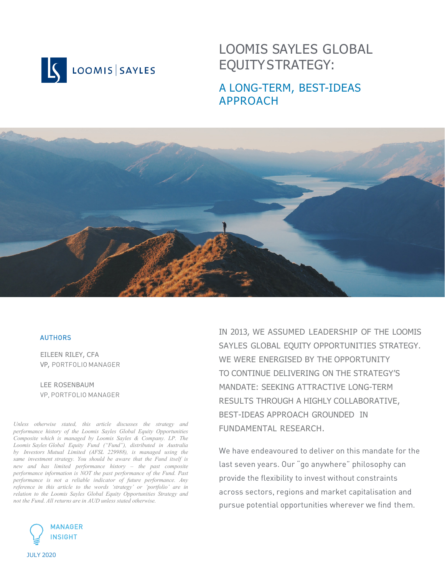

# LOOMIS SAYLES GLOBAL EQUITY STRATEGY:

## A LONG-TERM, BEST-IDEAS APPROACH



### **AUTHORS**

EILEEN RILEY, CFA VP, PORTFOLIO MANAGER

LEE ROSENBAUM VP, PORTFOLIO MANAGER

*Unless otherwise stated, this article discusses the strategy and performance history of the Loomis Sayles Global Equity Opportunities Composite which is managed by Loomis Sayles & Company. LP. The Loomis Sayles Global Equity Fund ("Fund"), distributed in Australia by Investors Mutual Limited (AFSL 229988), is managed using the same investment strategy. You should be aware that the Fund itself is new and has limited performance history – the past composite performance information is NOT the past performance of the Fund. Past performance is not a reliable indicator of future performance. Any reference in this article to the words 'strategy' or 'portfolio' are in relation to the Loomis Sayles Global Equity Opportunities Strategy and not the Fund. All returns are in AUD unless stated otherwise.*



IN 2013, WE ASSUMED LEADERSHIP OF THE LOOMIS SAYLES GLOBAL EQUITY OPPORTUNITIES STRATEGY. WE WERE ENERGISED BY THE OPPORTUNITY TO CONTINUE DELIVERING ON THE STRATEGY'S MANDATE: SEEKING ATTRACTIVE LONG-TERM RESULTS THROUGH A HIGHLY COLLABORATIVE, BEST-IDEAS APPROACH GROUNDED IN FUNDAMENTAL RESEARCH.

We have endeavoured to deliver on this mandate for the last seven years. Our "go anywhere" philosophy can provide the flexibility to invest without constraints across sectors, regions and market capitalisation and pursue potential opportunities wherever we find them.

JULY 2020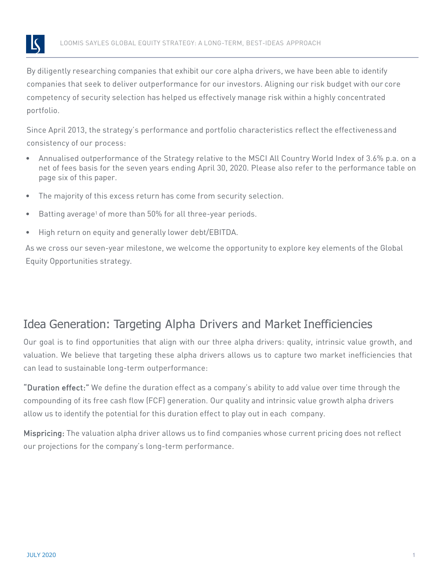

By diligently researching companies that exhibit our core alpha drivers, we have been able to identify companies that seek to deliver outperformance for our investors. Aligning our risk budget with our core competency of security selection has helped us effectively manage risk within a highly concentrated portfolio.

Since April 2013, the strategy's performance and portfolio characteristics reflect the effectivenessand consistency of our process:

- Annualised outperformance of the Strategy relative to the MSCI All Country World Index of 3.6% p.a. on a net of fees basis for the seven years ending April 30, 2020. Please also refer to the performance table on page six of this paper.
- The majority of this excess return has come from security selection.
- Batting average<sup>1</sup> of more than 50% for all three-year periods.
- High return on equity and generally lower debt/EBITDA.

As we cross our seven-year milestone, we welcome the opportunity to explore key elements of the Global Equity Opportunities strategy.

## Idea Generation: Targeting Alpha Drivers and Market Inefficiencies

Our goal is to find opportunities that align with our three alpha drivers: quality, intrinsic value growth, and valuation. We believe that targeting these alpha drivers allows us to capture two market inefficiencies that can lead to sustainable long-term outperformance:

"Duration effect:" We define the duration effect as a company's ability to add value over time through the compounding of its free cash flow (FCF) generation. Our quality and intrinsic value growth alpha drivers allow us to identify the potential for this duration effect to play out in each company.

Mispricing: The valuation alpha driver allows us to find companies whose current pricing does not reflect our projections for the company's long-term performance.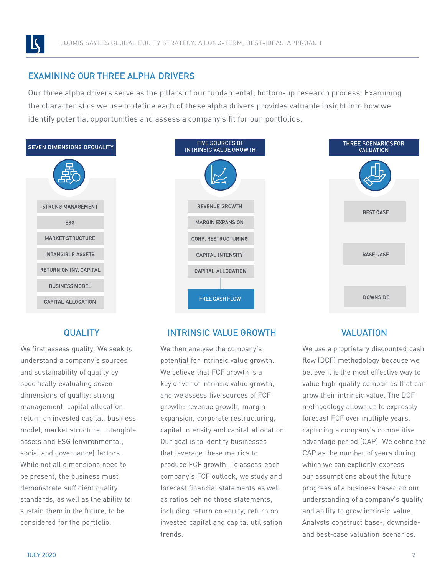

### EXAMINING OUR THREE ALPHA DRIVERS

Our three alpha drivers serve as the pillars of our fundamental, bottom-up research process. Examining the characteristics we use to define each of these alpha drivers provides valuable insight into how we identify potential opportunities and assess a company's fit for our portfolios.



### **QUALITY**

We first assess quality. We seek to understand a company's sources and sustainability of quality by specifically evaluating seven dimensions of quality: strong management, capital allocation, return on invested capital, business model, market structure, intangible assets and ESG (environmental, social and governance) factors. While not all dimensions need to be present, the business must demonstrate sufficient quality standards, as well as the ability to sustain them in the future, to be considered for the portfolio.

### INTRINSIC VALUE GROWTH

We then analyse the company's potential for intrinsic value growth. We believe that FCF growth is a key driver of intrinsic value growth, and we assess five sources of FCF growth: revenue growth, margin expansion, corporate restructuring, capital intensity and capital allocation. Our goal is to identify businesses that leverage these metrics to produce FCF growth. To assess each company's FCF outlook, we study and forecast financial statements as well as ratios behind those statements, including return on equity, return on invested capital and capital utilisation trends.

### VALUATION

We use a proprietary discounted cash flow (DCF) methodology because we believe it is the most effective way to value high-quality companies that can grow their intrinsic value. The DCF methodology allows us to expressly forecast FCF over multiple years, capturing a company's competitive advantage period (CAP). We define the CAP as the number of years during which we can explicitly express our assumptions about the future progress of a business based on our understanding of a company's quality and ability to grow intrinsic value. Analysts construct base-, downsideand best-case valuation scenarios.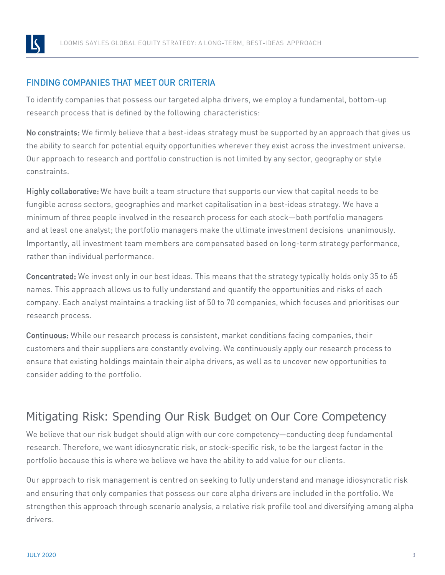

## FINDING COMPANIES THAT MEET OUR CRITERIA

To identify companies that possess our targeted alpha drivers, we employ a fundamental, bottom-up research process that is defined by the following characteristics:

No constraints: We firmly believe that a best-ideas strategy must be supported by an approach that gives us the ability to search for potential equity opportunities wherever they exist across the investment universe. Our approach to research and portfolio construction is not limited by any sector, geography or style constraints.

Highly collaborative: We have built a team structure that supports our view that capital needs to be fungible across sectors, geographies and market capitalisation in a best-ideas strategy. We have a minimum of three people involved in the research process for each stock—both portfolio managers and at least one analyst; the portfolio managers make the ultimate investment decisions unanimously. Importantly, all investment team members are compensated based on long-term strategy performance, rather than individual performance.

Concentrated: We invest only in our best ideas. This means that the strategy typically holds only 35 to 65 names. This approach allows us to fully understand and quantify the opportunities and risks of each company. Each analyst maintains a tracking list of 50 to 70 companies, which focuses and prioritises our research process.

Continuous: While our research process is consistent, market conditions facing companies, their customers and their suppliers are constantly evolving. We continuously apply our research process to ensure that existing holdings maintain their alpha drivers, as well as to uncover new opportunities to consider adding to the portfolio.

# Mitigating Risk: Spending Our Risk Budget on Our Core Competency

We believe that our risk budget should align with our core competency—conducting deep fundamental research. Therefore, we want idiosyncratic risk, or stock-specific risk, to be the largest factor in the portfolio because this is where we believe we have the ability to add value for our clients.

Our approach to risk management is centred on seeking to fully understand and manage idiosyncratic risk and ensuring that only companies that possess our core alpha drivers are included in the portfolio. We strengthen this approach through scenario analysis, a relative risk profile tool and diversifying among alpha drivers.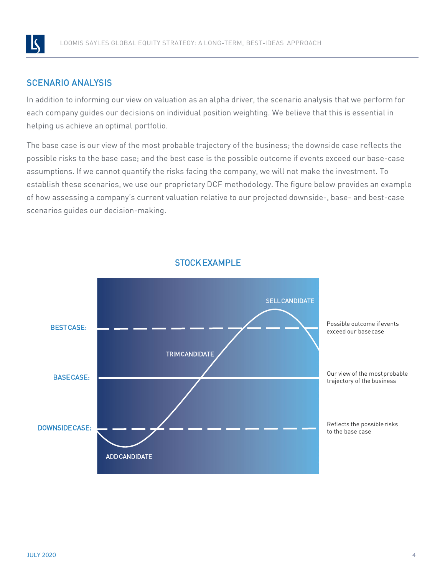

## SCENARIO ANALYSIS

In addition to informing our view on valuation as an alpha driver, the scenario analysis that we perform for each company guides our decisions on individual position weighting. We believe that this is essential in helping us achieve an optimal portfolio.

The base case is our view of the most probable trajectory of the business; the downside case reflects the possible risks to the base case; and the best case is the possible outcome if events exceed our base-case assumptions. If we cannot quantify the risks facing the company, we will not make the investment. To establish these scenarios, we use our proprietary DCF methodology. The figure below provides an example of how assessing a company's current valuation relative to our projected downside-, base- and best-case scenarios guides our decision-making.



## STOCKEXAMPLE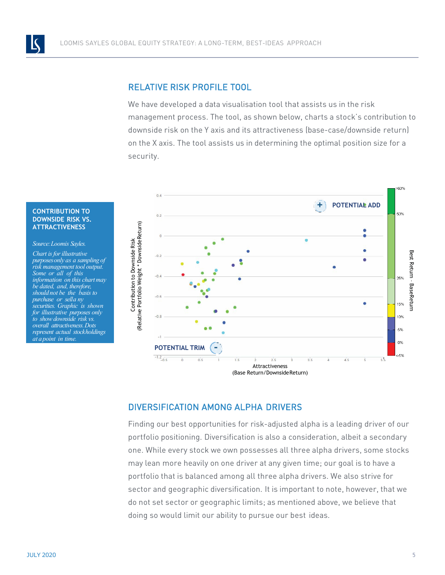### RELATIVE RISK PROFILE TOOL

We have developed a data visualisation tool that assists us in the risk management process. The tool, as shown below, charts a stock's contribution to downside risk on the Y axis and its attractiveness (base-case/downside return) on the X axis. The tool assists us in determining the optimal position size for a security.



### **CONTRIBUTION TO DOWNSIDE RISK VS. ATTRACTIVENESS**

#### *Source:Loomis Sayles.*

*Chart is forillustrative purposesonly as a sampling of risk management tool output. Some or all of this information on this chartmay be dated, and, therefore, should not be the basis to purchase or sella ny securities. Graphic is shown for illustrative purposes only to show downside risk vs. overall attractiveness.Dots represent actual stockholdings at apoint in time.*

### DIVERSIFICATION AMONG ALPHA DRIVERS

Finding our best opportunities for risk-adjusted alpha is a leading driver of our portfolio positioning. Diversification is also a consideration, albeit a secondary one. While every stock we own possesses all three alpha drivers, some stocks may lean more heavily on one driver at any given time; our goal is to have a portfolio that is balanced among all three alpha drivers. We also strive for sector and geographic diversification. It is important to note, however, that we do not set sector or geographic limits; as mentioned above, we believe that doing so would limit our ability to pursue our best ideas.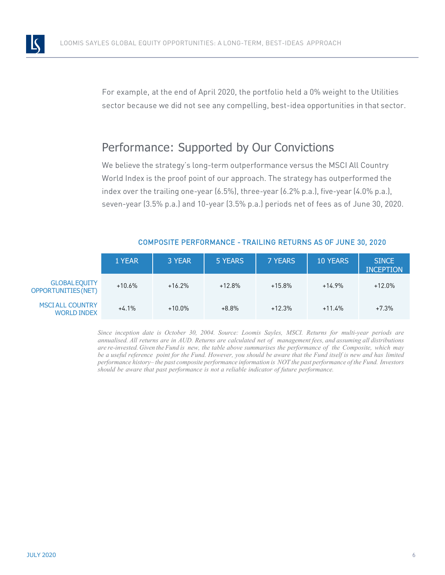

For example, at the end of April 2020, the portfolio held a 0% weight to the Utilities sector because we did not see any compelling, best-idea opportunities in that sector.

## Performance: Supported by Our Convictions

We believe the strategy's long-term outperformance versus the MSCI All Country World Index is the proof point of our approach. The strategy has outperformed the index over the trailing one-year (6.5%), three-year (6.2% p.a.), five-year (4.0% p.a.), seven-year (3.5% p.a.) and 10-year (3.5% p.a.) periods net of fees as of June 30, 2020.

|                                                    | 1 YEAR   | 3 YEAR    | 5 YEARS  | <b>7 YEARS</b> | <b>10 YEARS</b> | <b>SINCE</b><br><b>INCEPTION</b> |
|----------------------------------------------------|----------|-----------|----------|----------------|-----------------|----------------------------------|
| <b>GLOBAL EQUITY</b><br><b>OPPORTUNITIES (NET)</b> | $+10.6%$ | $+16.2%$  | $+12.8%$ | $+15.8\%$      | $+14.9%$        | $+12.0\%$                        |
| <b>MSCI ALL COUNTRY</b><br><b>WORLD INDEX</b>      | $+4.1%$  | $+10.0\%$ | $+8.8%$  | $+12.3%$       | $+11.4%$        | $+7.3%$                          |

### COMPOSITE PERFORMANCE - TRAILING RETURNS AS OF JUNE 30, 2020

*Since inception date is October 30, 2004. Source: Loomis Sayles, MSCI. Returns for multi-year periods are* annualised. All returns are in AUD. Returns are calculated net of management fees, and assuming all distributions are re-invested. Given the Fund is new, the table above summarises the performance of the Composite, which may be a useful reference point for the Fund. However, you should be aware that the Fund itself is new and has limited performance history-the past composite performance information is NOT the past performance of the Fund. Investors *should be aware that past performance is not a reliable indicator of future performance.*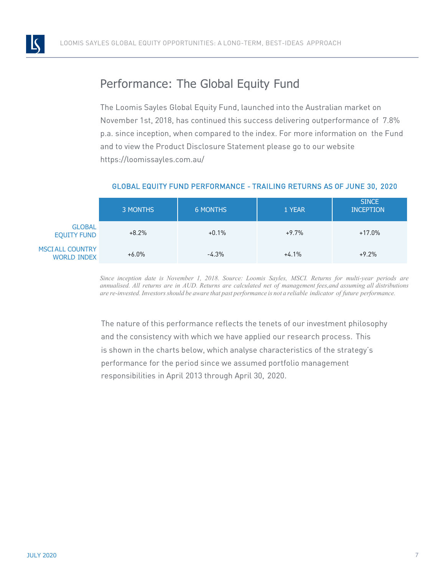

# Performance: The Global Equity Fund

The Loomis Sayles Global Equity Fund, launched into the Australian market on November 1st, 2018, has continued this success delivering outperformance of 7.8% p.a. since inception, when compared to the index. For more information on the Fund and to view the Product Disclosure Statement please go to our website https://loomissayles.com.au/

|                                               | 3 MONTHS | <b>6 MONTHS</b> | 1 YEAR  | <b>SINCE</b><br><b>INCEPTION</b> |  |
|-----------------------------------------------|----------|-----------------|---------|----------------------------------|--|
| <b>GLOBAL</b><br><b>EQUITY FUND</b>           | $+8.2%$  | $+0.1%$         | $+9.7%$ | $+17.0\%$                        |  |
| <b>MSCI ALL COUNTRY</b><br><b>WORLD INDEX</b> | $+6.0\%$ | $-4.3%$         | $+4.1%$ | $+9.2%$                          |  |

### GLOBAL EQUITY FUND PERFORMANCE - TRAILING RETURNS AS OF JUNE 30, 2020

*Since inception date is November 1, 2018. Source: Loomis Sayles, MSCI. Returns for multi-year periods are annualised. All returns are in AUD. Returns are calculated net of management fees,and assuming all distributions* are re-invested. Investors should be aware that past performance is not a reliable indicator of future performance.

The nature of this performance reflects the tenets of our investment philosophy and the consistency with which we have applied our research process. This is shown in the charts below, which analyse characteristics of the strategy's performance for the period since we assumed portfolio management responsibilities in April 2013 through April 30, 2020.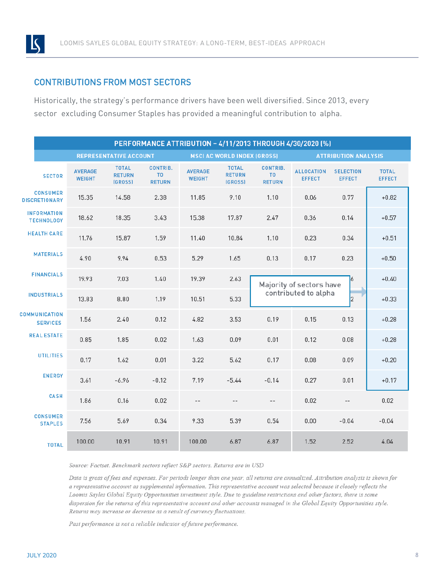

### CONTRIBUTIONS FROM MOST SECTORS

Historically, the strategy's performance drivers have been well diversified. Since 2013, every sector excluding Consumer Staples has provided a meaningful contribution to alpha.

| PERFORMANCE ATTRIBUTION - 4/11/2013 THROUGH 4/30/2020 (%) |                                 |                                          |                                                    |                                    |                                          |                                                    |                                    |                                   |                               |
|-----------------------------------------------------------|---------------------------------|------------------------------------------|----------------------------------------------------|------------------------------------|------------------------------------------|----------------------------------------------------|------------------------------------|-----------------------------------|-------------------------------|
|                                                           | <b>REPRESENTATIVE ACCOUNT</b>   |                                          |                                                    | <b>MSCI AC WORLD INDEX (GROSS)</b> |                                          |                                                    | <b>ATTRIBUTION ANALYSIS</b>        |                                   |                               |
| <b>SECTOR</b>                                             | <b>AVERAGE</b><br><b>WEIGHT</b> | <b>TOTAL</b><br><b>RETURN</b><br>(GROSS) | <b>CONTRIB.</b><br>T <sub>0</sub><br><b>RETURN</b> | <b>AVERAGE</b><br><b>WEIGHT</b>    | <b>TOTAL</b><br><b>RETURN</b><br>(GROSS) | <b>CONTRIB.</b><br>T <sub>0</sub><br><b>RETURN</b> | <b>ALLOCATION</b><br><b>EFFECT</b> | <b>SELECTION</b><br><b>EFFECT</b> | <b>TOTAL</b><br><b>EFFECT</b> |
| <b>CONSUMER</b><br><b>DISCRETIONARY</b>                   | 15.35                           | 14.58                                    | 2.38                                               | 11.85                              | 9.10                                     | 1.10                                               | 0.06                               | 0.77                              | $+0.82$                       |
| <b>INFORMATION</b><br><b>TECHNOLOGY</b>                   | 18.62                           | 18.35                                    | 3.43                                               | 15.38                              | 17.87                                    | 2.47                                               | 0.36                               | 0.14                              | $+0.57$                       |
| <b>HEALTH CARE</b>                                        | 11.76                           | 15.87                                    | 1.59                                               | 11.40                              | 10.84                                    | 1.10                                               | 0.23                               | 0.34                              | $+0.51$                       |
| <b>MATERIALS</b>                                          | 4.90                            | 9.94                                     | 0.53                                               | 5.29                               | 1.65                                     | 0.13                                               | 0.17                               | 0.23                              | $+0.50$                       |
| <b>FINANCIALS</b>                                         | 19.93                           | 7.03                                     | 1.40                                               | 19.39                              | 2.63                                     | 6<br>Majority of sectors have                      |                                    |                                   | $+0.40$                       |
| <b>INDUSTRIALS</b>                                        | 13.83                           | 8.80                                     | 1.19                                               | 10.51                              | 5.33                                     | contributed to alpha<br> 2                         |                                    | $+0.33$                           |                               |
| <b>COMMUNICATION</b><br><b>SERVICES</b>                   | 1.56                            | 2.40                                     | 0.12                                               | 4.82                               | 3.53                                     | 0.19                                               | 0.15                               | 0.13                              | $+0.28$                       |
| <b>REAL ESTATE</b>                                        | 0.85                            | 1.85                                     | 0.02                                               | 1.63                               | 0.09                                     | 0.01                                               | 0.12                               | 0.08                              | $+0.28$                       |
| <b>UTILITIES</b>                                          | 0.17                            | 1.62                                     | 0.01                                               | 3.22                               | 5.62                                     | 0.17                                               | 0.08                               | 0.09                              | $+0.20$                       |
| <b>ENERGY</b>                                             | 3.61                            | $-6.96$                                  | $-0.12$                                            | 7.19                               | $-5.44$                                  | $-0.14$                                            | 0.27                               | 0.01                              | $+0.17$                       |
| <b>CASH</b>                                               | 1.86                            | 0.16                                     | 0.02                                               | $-$                                | $-$                                      | $-$                                                | 0.02                               | $-\,-$                            | 0.02                          |
| <b>CONSUMER</b><br><b>STAPLES</b>                         | 7.56                            | 5.69                                     | 0.34                                               | 9.33                               | 5.39                                     | 0.54                                               | 0.00                               | $-0.04$                           | $-0.04$                       |
| <b>TOTAL</b>                                              | 100.00                          | 10.91                                    | 10.91                                              | 100.00                             | 6.87                                     | 6.87                                               | 1.52                               | 2.52                              | 4.04                          |

Source: Factset. Benchmark sectors reflect S&P sectors. Returns are in USD

Data is gross of fees and expenses. For periods longer than one year, all returns are annualized. Attribution analysis is shown for a representative account as supplemental information. This representative account was selected because it closely reflects the Loomis Sayles Global Equity Opportunities investment style. Due to guideline restrictions and other factors, there is some dispersion for the returns of this representative account and other accounts managed in the Global Equity Opportunities style. Returns may increase or decrease as a result of currency fluctuations.

Past performance is not a reliable indicator of future performance.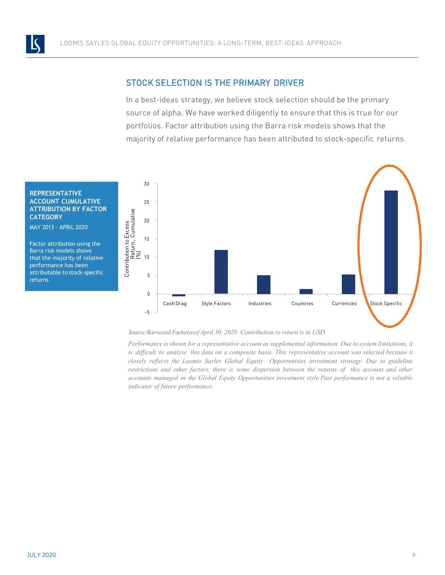

### STOCK SELECTION IS THE PRIMARY DRIVER

In a best-ideas strategy, we believe stock selection should be the primary source of alpha. We have worked diligently to ensure that this is true for our portfolios. Factor attribution using the Barra risk models shows that the majority of relative performance has been attributed to stock-specific returns.

#### **REPRESENTATIVE ACCOUNT CUMULATIVE ATTRIBUTION BY FACTOR CATEGORY**

MAY 2013 - APRIL 2020

Factor attribution using the Barra risk models shows that the majority of relative performance has been attributable to stock-specific returns.



*Source:BarraandFactsetasofApril 30, 2020. Contribution to return is in USD.*

*Performance is shown for a representative account as supplemental information. Due to system limitations, it is difficult to analyse this data on a composite basis. This representative account was selected because it closely reflects the Loomis Sayles Global Equity Opportunities investment strategy. Due to guideline restrictions and other factors, there is some dispersion between the returns of this account and other accounts managed in the Global Equity Opportunities investment style.Past performance is not a reliable indicator of future performance.*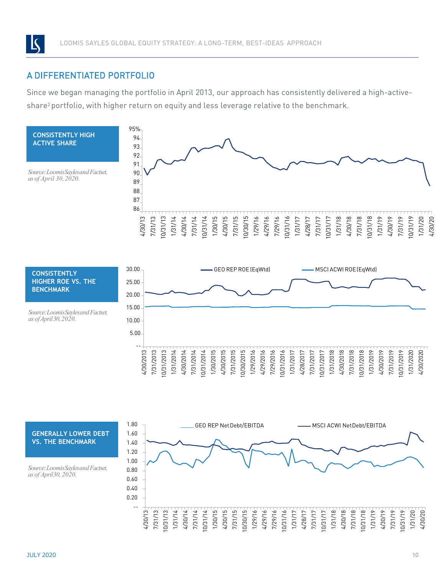

### A DIFFERENTIATED PORTFOLIO

Since we began managing the portfolio in April 2013, our approach has consistently delivered a high-activeshare<sup>2</sup> portfolio, with higher return on equity and less leverage relative to the benchmark.





*Source:LoomisSaylesandFactset, as ofApril30,2020.*



#### **GENERALLY LOWER DEBT VS. THE BENCHMARK**

*Source:LoomisSaylesandFactset, as of April30, 2020.*

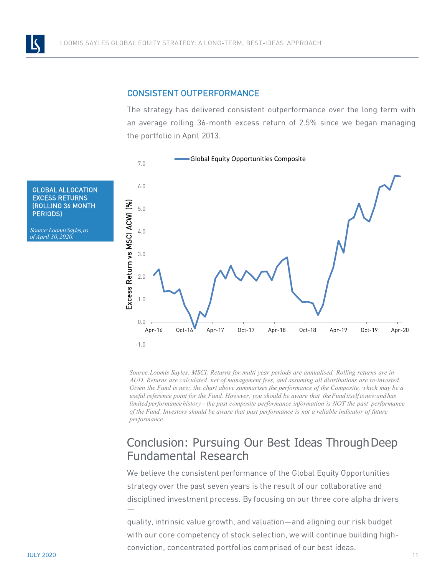

### CONSISTENT OUTPERFORMANCE

The strategy has delivered consistent outperformance over the long term with an average rolling 36-month excess return of 2.5% since we began managing the portfolio in April 2013.



*Source:Loomis Sayles, MSCI. Returns for multi year periods are annualised. Rolling returns are in AUD. Returns are calculated net of management fees, and assuming all distributions are re-invested. Given the Fund is new, the chart above summarises the performance of the Composite, which may be a useful reference point for the Fund. However, you should be aware that theFund itselfis newand has limited performance history – the past composite performance information is NOT the past performance of the Fund. Investors should be aware that past performance is not a reliable indicator of future performance.*

## Conclusion: Pursuing Our Best Ideas Through Deep Fundamental Research

We believe the consistent performance of the Global Equity Opportunities strategy over the past seven years is the result of our collaborative and disciplined investment process. By focusing on our three core alpha drivers —

quality, intrinsic value growth, and valuation—and aligning our risk budget with our core competency of stock selection, we will continue building highconviction, concentrated portfolios comprised of our best ideas.

GLOBAL ALLOCATION EXCESS RETURNS (ROLLING 36 MONTH PERIODS)

*Source:LoomisSayles,as of April 30,2020.*